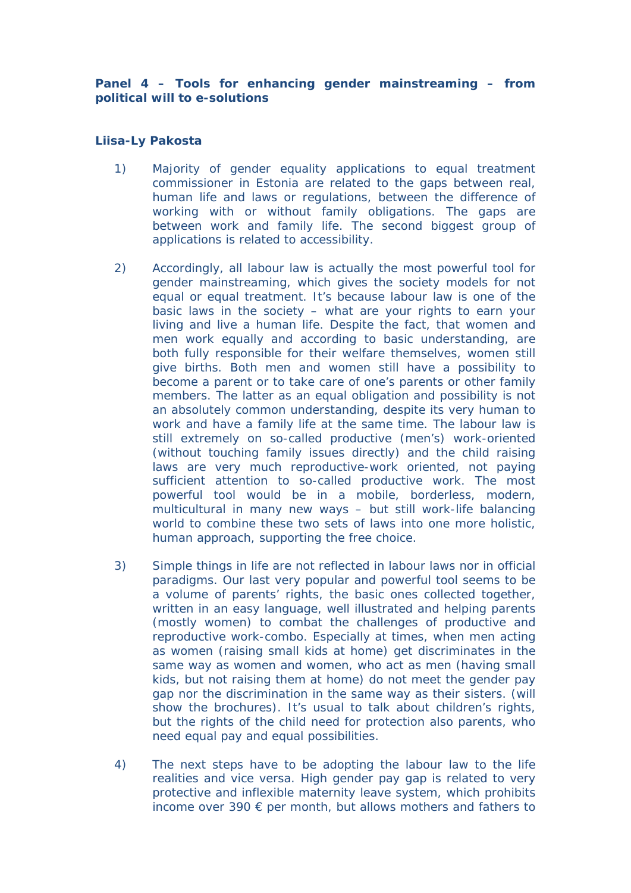**Panel 4 – Tools for enhancing gender mainstreaming – from political will to e-solutions**

## **Liisa-Ly Pakosta**

- 1) Majority of gender equality applications to equal treatment commissioner in Estonia are related to the gaps between real, human life and laws or regulations, between the difference of working with or without family obligations. The gaps are between work and family life. The second biggest group of applications is related to accessibility.
- 2) Accordingly, all labour law is actually the most powerful tool for gender mainstreaming, which gives the society models for not equal or equal treatment. It's because labour law is one of the basic laws in the society – what are your rights to earn your living and live a human life. Despite the fact, that women and men work equally and according to basic understanding, are both fully responsible for their welfare themselves, women still give births. Both men and women still have a possibility to become a parent or to take care of one's parents or other family members. The latter as an equal obligation and possibility is not an absolutely common understanding, despite its very human to work and have a family life at the same time. The labour law is still extremely on so-called productive (men's) work-oriented (without touching family issues directly) and the child raising laws are very much reproductive-work oriented, not paying sufficient attention to so-called productive work. The most powerful tool would be in a mobile, borderless, modern, multicultural in many new ways – but still work-life balancing world to combine these two sets of laws into one more holistic, human approach, supporting the free choice.
- 3) Simple things in life are not reflected in labour laws nor in official paradigms. Our last very popular and powerful tool seems to be a volume of parents' rights, the basic ones collected together, written in an easy language, well illustrated and helping parents (mostly women) to combat the challenges of productive and reproductive work-combo. Especially at times, when men acting as women (raising small kids at home) get discriminates in the same way as women and women, who act as men (having small kids, but not raising them at home) do not meet the gender pay gap nor the discrimination in the same way as their sisters. (will show the brochures). It's usual to talk about children's rights, but the rights of the child need for protection also parents, who need equal pay and equal possibilities.
- 4) The next steps have to be adopting the labour law to the life realities and vice versa. High gender pay gap is related to very protective and inflexible maternity leave system, which prohibits income over 390 € per month, but allows mothers and fathers to